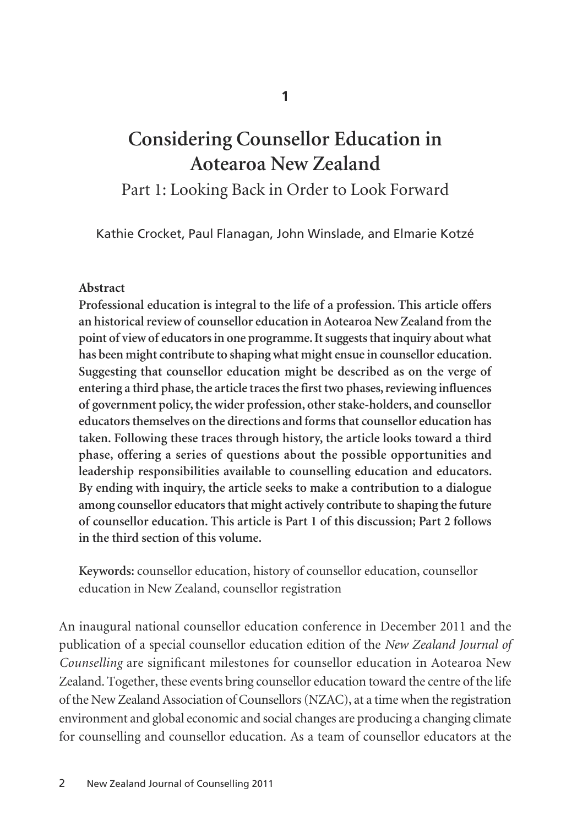**1**

# **Considering Counsellor Education in Aotearoa New Zealand**

Part 1: Looking Back in Order to Look Forward

Kathie Crocket, Paul Flanagan, John Winslade, and Elmarie Kotzé

## **Abstract**

**Professional education is integral to the life of a profession. This article offers an historical review of counsellor education in Aotearoa New Zealand from the point of view of educators in one programme. It suggests that inquiry about what has been might contribute to shaping what might ensue in counsellor education. Suggesting that counsellor education might be described as on the verge of entering a third phase, the article traces the first two phases, reviewing influences of government policy, the wider profession, other stake-holders, and counsellor educators themselves on the directions and forms that counsellor education has taken. Following these traces through history, the article looks toward a third phase, offering a series of questions about the possible opportunities and leadership responsibilities available to counselling education and educators. By ending with inquiry, the article seeks to make a contribution to a dialogue among counsellor educators that might actively contribute to shaping the future of counsellor education. This article is Part 1 of this discussion; Part 2 follows in the third section of this volume.**

**Keywords:** counsellor education, history of counsellor education, counsellor education in New Zealand, counsellor registration

An inaugural national counsellor education conference in December 2011 and the publication of a special counsellor education edition of the *New Zealand Journal of Counselling* are significant milestones for counsellor education in Aotearoa New Zealand. Together, these events bring counsellor education toward the centre of the life of the New Zealand Association of Counsellors (NZAC), at a time when the registration environment and global economic and social changes are producing a changing climate for counselling and counsellor education. As a team of counsellor educators at the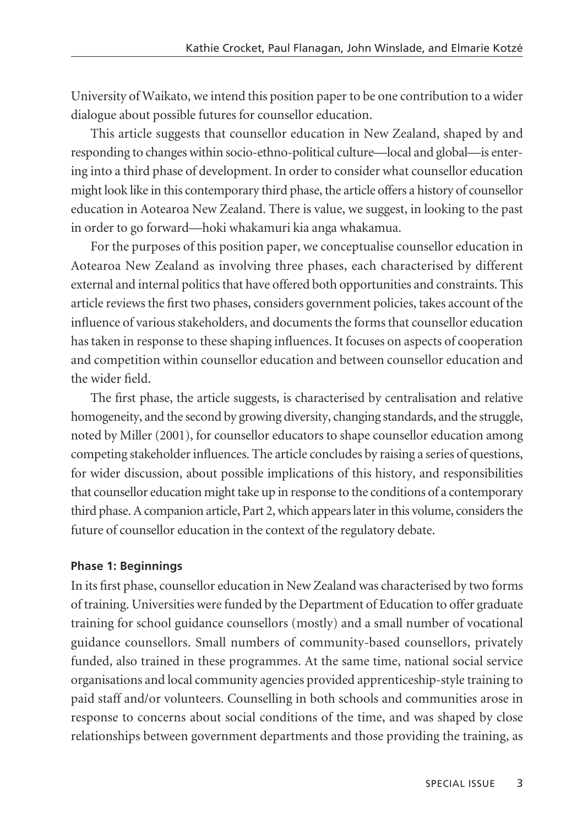University of Waikato, we intend this position paper to be one contribution to a wider dialogue about possible futures for counsellor education.

This article suggests that counsellor education in New Zealand, shaped by and responding to changes within socio-ethno-political culture—local and global—is entering into a third phase of development. In order to consider what counsellor education might look like in this contemporary third phase, the article offers a history of counsellor education in Aotearoa New Zealand. There is value, we suggest, in looking to the past in order to go forward—hoki whakamuri kia anga whakamua.

For the purposes of this position paper, we conceptualise counsellor education in Aotearoa New Zealand as involving three phases, each characterised by different external and internal politics that have offered both opportunities and constraints. This article reviews the first two phases, considers government policies, takes account of the influence of various stakeholders, and documents the forms that counsellor education has taken in response to these shaping influences. It focuses on aspects of cooperation and competition within counsellor education and between counsellor education and the wider field.

The first phase, the article suggests, is characterised by centralisation and relative homogeneity, and the second by growing diversity, changing standards, and the struggle, noted by Miller (2001), for counsellor educators to shape counsellor education among competing stakeholder influences. The article concludes by raising a series of questions, for wider discussion, about possible implications of this history, and responsibilities that counsellor education might take up in response to the conditions of a contemporary third phase. A companion article, Part 2, which appears later in this volume, considers the future of counsellor education in the context of the regulatory debate.

#### **Phase 1: Beginnings**

In its first phase, counsellor education in New Zealand was characterised by two forms of training. Universities were funded by the Department of Education to offer graduate training for school guidance counsellors (mostly) and a small number of vocational guidance counsellors. Small numbers of community-based counsellors, privately funded, also trained in these programmes. At the same time, national social service organisations and local community agencies provided apprenticeship-style training to paid staff and/or volunteers. Counselling in both schools and communities arose in response to concerns about social conditions of the time, and was shaped by close relationships between government departments and those providing the training, as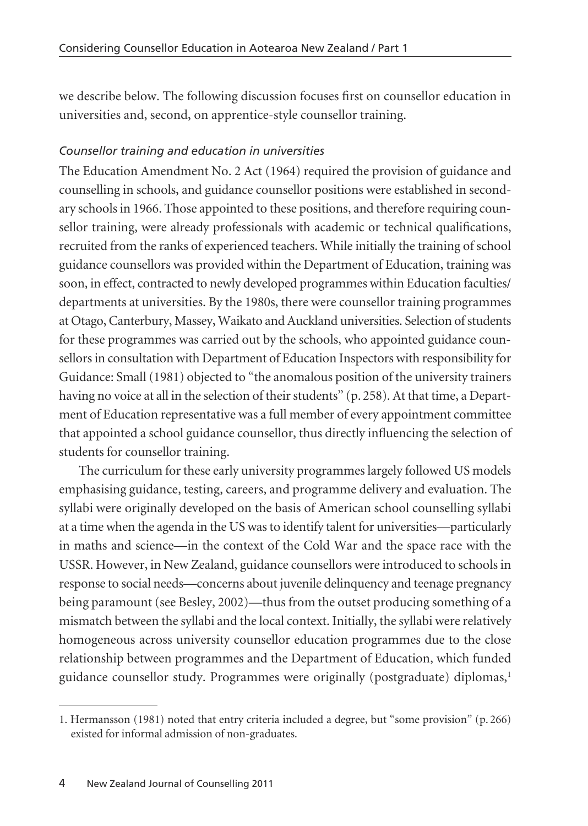we describe below. The following discussion focuses first on counsellor education in universities and, second, on apprentice-style counsellor training.

# *Counsellor training and education in universities*

The Education Amendment No. 2 Act (1964) required the provision of guidance and counselling in schools, and guidance counsellor positions were established in secondary schools in 1966. Those appointed to these positions, and therefore requiring counsellor training, were already professionals with academic or technical qualifications, recruited from the ranks of experienced teachers. While initially the training of school guidance counsellors was provided within the Department of Education, training was soon, in effect, contracted to newly developed programmes within Education faculties/ departments at universities. By the 1980s, there were counsellor training programmes at Otago, Canterbury, Massey, Waikato and Auckland universities. Selection of students for these programmes was carried out by the schools, who appointed guidance counsellors in consultation with Department of Education Inspectors with responsibility for Guidance: Small (1981) objected to "the anomalous position of the university trainers having no voice at all in the selection of their students" (p. 258). At that time, a Department of Education representative was a full member of every appointment committee that appointed a school guidance counsellor, thus directly influencing the selection of students for counsellor training.

The curriculum for these early university programmes largely followed US models emphasising guidance, testing, careers, and programme delivery and evaluation. The syllabi were originally developed on the basis of American school counselling syllabi at a time when the agenda in the US was to identify talent for universities—particularly in maths and science—in the context of the Cold War and the space race with the USSR. However, in New Zealand, guidance counsellors were introduced to schools in response to social needs—concerns about juvenile delinquency and teenage pregnancy being paramount (see Besley, 2002)—thus from the outset producing something of a mismatch between the syllabi and the local context. Initially, the syllabi were relatively homogeneous across university counsellor education programmes due to the close relationship between programmes and the Department of Education, which funded guidance counsellor study. Programmes were originally (postgraduate) diplomas,<sup>1</sup>

<sup>1.</sup> Hermansson (1981) noted that entry criteria included a degree, but "some provision" (p. 266) existed for informal admission of non-graduates.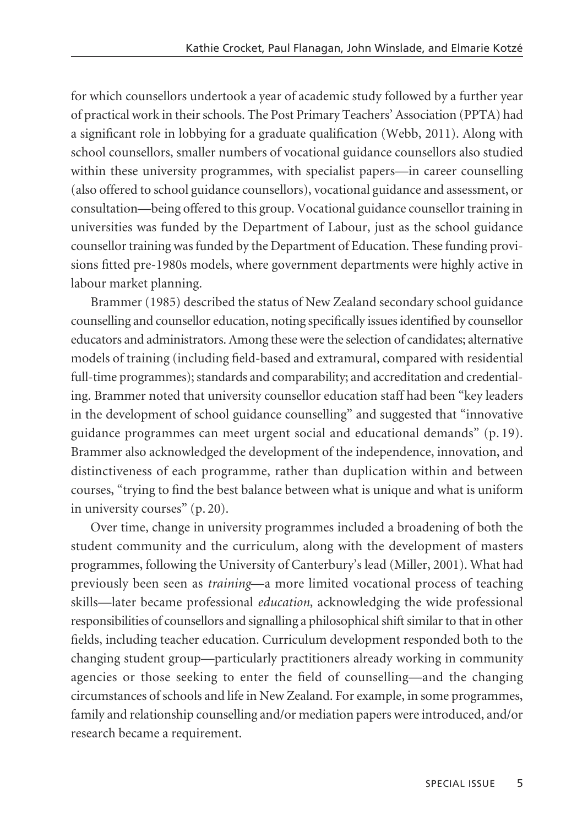for which counsellors undertook a year of academic study followed by a further year of practical work in their schools. The Post Primary Teachers' Association (PPTA) had a significant role in lobbying for a graduate qualification (Webb, 2011). Along with school counsellors, smaller numbers of vocational guidance counsellors also studied within these university programmes, with specialist papers—in career counselling (also offered to school guidance counsellors), vocational guidance and assessment, or consultation—being offered to this group. Vocational guidance counsellor training in universities was funded by the Department of Labour, just as the school guidance counsellor training was funded by the Department of Education. These funding provi sions fitted pre-1980s models, where government departments were highly active in labour market planning.

Brammer (1985) described the status of New Zealand secondary school guidance counselling and counsellor education, noting specifically issues identified by counsellor educators and administrators. Among these were the selection of candidates; alternative models of training (including field-based and extramural, compared with residential full-time programmes); standards and comparability; and accreditation and credentialing. Brammer noted that university counsellor education staff had been "key leaders in the development of school guidance counselling" and suggested that "innovative guidance programmes can meet urgent social and educational demands" (p. 19). Brammer also acknowledged the development of the independence, innovation, and distinctiveness of each programme, rather than duplication within and between courses, "trying to find the best balance between what is unique and what is uniform in university courses" (p. 20).

Over time, change in university programmes included a broadening of both the student community and the curriculum, along with the development of masters programmes, following the University of Canterbury's lead (Miller, 2001). What had previously been seen as *training*—a more limited vocational process of teaching skills—later became professional *education*, acknowledging the wide professional responsibilities of counsellors and signalling a philosophical shift similar to that in other fields, including teacher education. Curriculum development responded both to the changing student group—particularly practitioners already working in community agencies or those seeking to enter the field of counselling—and the changing circumstances of schools and life in New Zealand. For example, in some programmes, family and relationship counselling and/or mediation papers were introduced, and/or research became a requirement.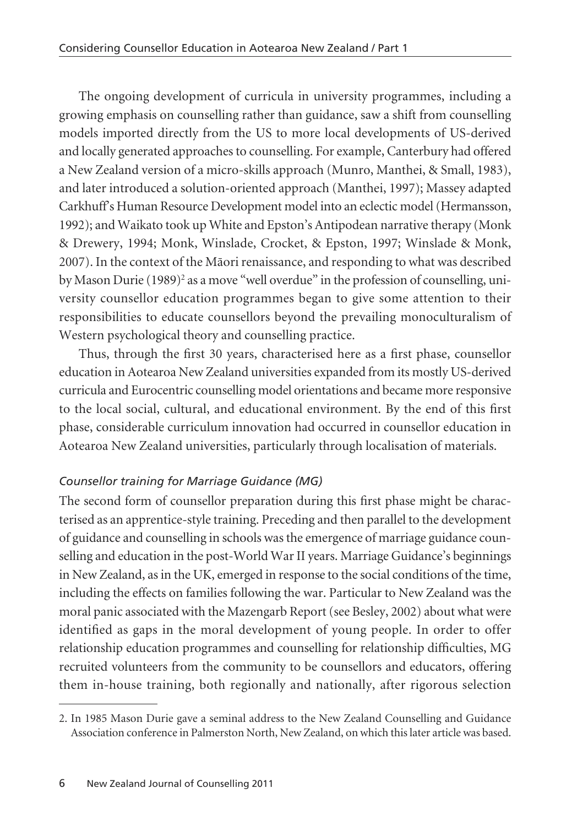The ongoing development of curricula in university programmes, including a growing emphasis on counselling rather than guidance, saw a shift from counselling models imported directly from the US to more local developments of US-derived and locally generated approaches to counselling. For example, Canterbury had offered a New Zealand version of a micro-skills approach (Munro, Manthei, & Small, 1983), and later introduced a solution-oriented approach (Manthei, 1997); Massey adapted Carkhuff's Human Resource Development model into an eclectic model (Hermansson, 1992); and Waikato took up White and Epston's Antipodean narrative therapy (Monk & Drewery, 1994; Monk, Winslade, Crocket, & Epston, 1997; Winslade & Monk, 2007). In the context of the Mäori renaissance, and responding to what was described by Mason Durie (1989)<sup>2</sup> as a move "well overdue" in the profession of counselling, university counsellor education programmes began to give some attention to their responsibilities to educate counsellors beyond the prevailing monoculturalism of Western psychological theory and counselling practice.

Thus, through the first 30 years, characterised here as a first phase, counsellor education in Aotearoa New Zealand universities expanded from its mostly US-derived curricula and Eurocentric counselling model orientations and became more responsive to the local social, cultural, and educational environment. By the end of this first phase, considerable curriculum innovation had occurred in counsellor education in Aotearoa New Zealand universities, particularly through localisation of materials.

# *Counsellor training for Marriage Guidance (MG)*

The second form of counsellor preparation during this first phase might be characterised as an apprentice-style training. Preceding and then parallel to the development of guidance and counselling in schools was the emergence of marriage guidance counselling and education in the post-World War II years. Marriage Guidance's beginnings in New Zealand, as in the UK, emerged in response to the social conditions of the time, including the effects on families following the war. Particular to New Zealand was the moral panic associated with the Mazengarb Report (see Besley, 2002) about what were identified as gaps in the moral development of young people. In order to offer relationship education programmes and counselling for relationship difficulties, MG recruited volunteers from the community to be counsellors and educators, offering them in-house training, both regionally and nationally, after rigorous selection

<sup>2.</sup> In 1985 Mason Durie gave a seminal address to the New Zealand Counselling and Guidance Association conference in Palmerston North, New Zealand, on which this later article was based.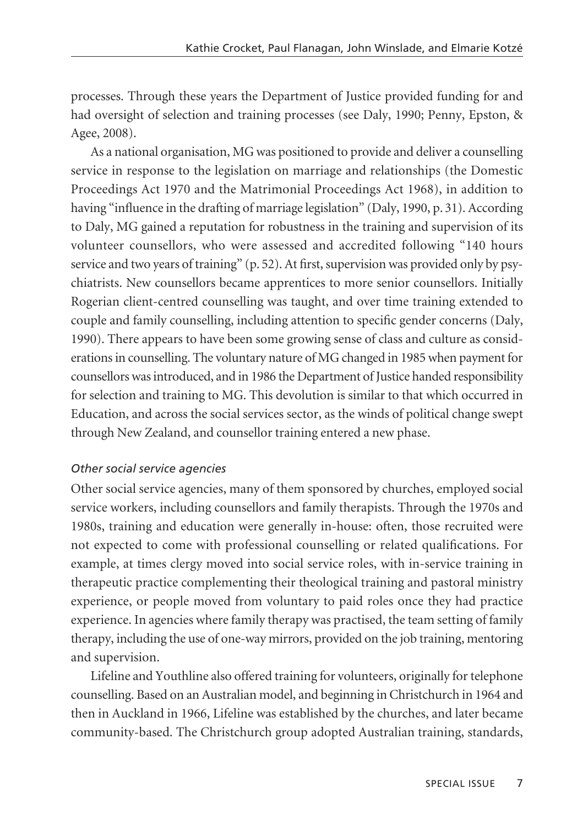processes. Through these years the Department of Justice provided funding for and had oversight of selection and training processes (see Daly, 1990; Penny, Epston, & Agee, 2008).

As a national organisation, MG was positioned to provide and deliver a counselling service in response to the legislation on marriage and relationships (the Domestic Proceedings Act 1970 and the Matrimonial Proceedings Act 1968), in addition to having "influence in the drafting of marriage legislation" (Daly, 1990, p. 31). According to Daly, MG gained a reputation for robustness in the training and supervision of its volunteer counsellors, who were assessed and accredited following "140 hours service and two years of training" (p. 52). At first, supervision was provided only by psychiatrists. New counsellors became apprentices to more senior counsellors. Initially Rogerian client-centred counselling was taught, and over time training extended to couple and family counselling, including attention to specific gender concerns (Daly, 1990). There appears to have been some growing sense of class and culture as considerations in counselling. The voluntary nature of MG changed in 1985 when payment for counsellors was introduced, and in 1986 the Department of Justice handed responsibility for selection and training to MG. This devolution is similar to that which occurred in Education, and across the social services sector, as the winds of political change swept through New Zealand, and counsellor training entered a new phase.

#### *Other social service agencies*

Other social service agencies, many of them sponsored by churches, employed social service workers, including counsellors and family therapists. Through the 1970s and 1980s, training and education were generally in-house: often, those recruited were not expected to come with professional counselling or related qualifications. For example, at times clergy moved into social service roles, with in-service training in therapeutic practice complementing their theological training and pastoral ministry experience, or people moved from voluntary to paid roles once they had practice experience. In agencies where family therapy was practised, the team setting of family therapy, including the use of one-way mirrors, provided on the job training, mentoring and supervision.

Lifeline and Youthline also offered training for volunteers, originally for telephone counselling. Based on an Australian model, and beginning in Christchurch in 1964 and then in Auckland in 1966, Lifeline was established by the churches, and later became community-based. The Christchurch group adopted Australian training, standards,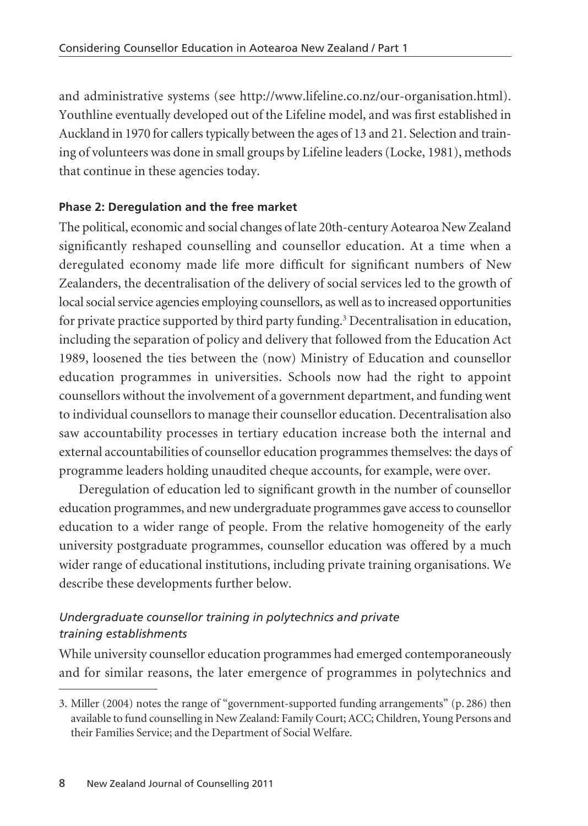and administrative systems (see http://www.lifeline.co.nz/our-organisation.html). Youthline eventually developed out of the Lifeline model, and was first established in Auckland in 1970 for callers typically between the ages of 13 and 21. Selection and train ing of volunteers was done in small groups by Lifeline leaders (Locke, 1981), methods that continue in these agencies today.

# **Phase 2: Deregulation and the free market**

The political, economic and social changes of late 20th-century Aotearoa New Zealand significantly reshaped counselling and counsellor education. At a time when a deregulated economy made life more difficult for significant numbers of New Zealanders, the decentralisation of the delivery of social services led to the growth of local social service agencies employing counsellors, as well as to increased opportunities for private practice supported by third party funding.<sup>3</sup> Decentralisation in education, including the separation of policy and delivery that followed from the Education Act 1989, loosened the ties between the (now) Ministry of Education and counsellor education programmes in universities. Schools now had the right to appoint counsellors without the involvement of a government department, and funding went to individual counsellors to manage their counsellor education. Decentralisation also saw accountability processes in tertiary education increase both the internal and external accountabilities of counsellor education programmes themselves: the days of programme leaders holding unaudited cheque accounts, for example, were over.

Deregulation of education led to significant growth in the number of counsellor education programmes, and new undergraduate programmes gave access to counsellor education to a wider range of people. From the relative homogeneity of the early university postgraduate programmes, counsellor education was offered by a much wider range of educational institutions, including private training organisations. We describe these developments further below.

# *Undergraduate counsellor training in polytechnics and private training establishments*

While university counsellor education programmes had emerged contemporaneously and for similar reasons, the later emergence of programmes in polytechnics and

<sup>3.</sup> Miller (2004) notes the range of "government-supported funding arrangements" (p. 286) then available to fund counselling in New Zealand: Family Court; ACC; Children, Young Persons and their Families Service; and the Department of Social Welfare.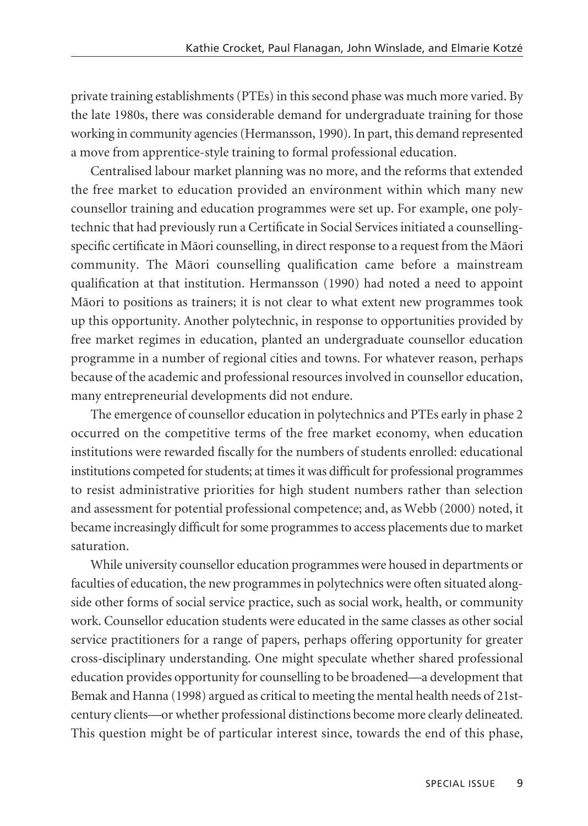private training establishments (PTEs) in this second phase was much more varied. By the late 1980s, there was considerable demand for undergraduate training for those working in community agencies (Hermansson, 1990). In part, this demand represented a move from apprentice-style training to formal professional education.

Centralised labour market planning was no more, and the reforms that extended the free market to education provided an environment within which many new counsellor training and education programmes were set up. For example, one polytechnic that had previously run a Certificate in Social Services initiated a counsellingspecific certificate in Mäori counselling, in direct response to a request from the Mäori community. The Mäori counselling qualification came before a mainstream qualification at that institution. Hermansson (1990) had noted a need to appoint Mäori to positions as trainers; it is not clear to what extent new programmes took up this opportunity. Another polytechnic, in response to opportunities provided by free market regimes in education, planted an undergraduate counsellor education programme in a number of regional cities and towns. For whatever reason, perhaps because of the academic and professional resources involved in counsellor education, many entrepreneurial developments did not endure.

The emergence of counsellor education in polytechnics and PTEs early in phase 2 occurred on the competitive terms of the free market economy, when education institutions were rewarded fiscally for the numbers of students enrolled: educational institutions competed for students; at times it was difficult for professional programmes to resist administrative priorities for high student numbers rather than selection and assessment for potential professional competence; and, as Webb (2000) noted, it became increasingly difficult for some programmes to access placements due to market saturation.

While university counsellor education programmes were housed in departments or faculties of education, the new programmes in polytechnics were often situated alongside other forms of social service practice, such as social work, health, or community work. Counsellor education students were educated in the same classes as other social service practitioners for a range of papers, perhaps offering opportunity for greater cross-disciplinary understanding. One might speculate whether shared professional education provides opportunity for counselling to be broadened—a development that Bemak and Hanna (1998) argued as critical to meeting the mental health needs of 21stcentury clients—or whether professional distinctions become more clearly delineated. This question might be of particular interest since, towards the end of this phase,

SPECIAL ISSUE 9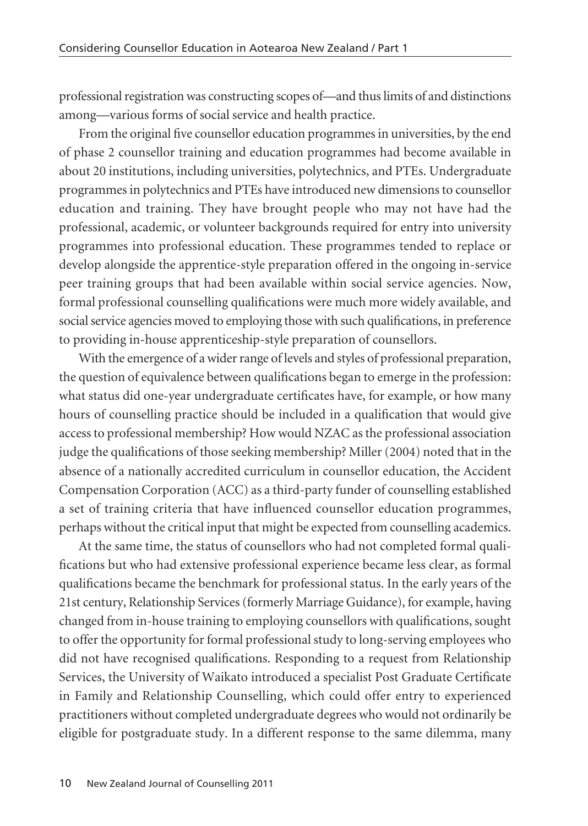professional registration was constructing scopes of—and thus limits of and distinctions among—various forms of social service and health practice.

From the original five counsellor education programmes in universities, by the end of phase 2 counsellor training and education programmes had become available in about 20 institutions, including universities, polytechnics, and PTEs. Undergraduate programmes in polytechnics and PTEs have introduced new dimensions to counsellor education and training. They have brought people who may not have had the professional, academic, or volunteer backgrounds required for entry into university programmes into professional education. These programmes tended to replace or develop alongside the apprentice-style preparation offered in the ongoing in-service peer training groups that had been available within social service agencies. Now, formal professional counselling qualifications were much more widely available, and social service agencies moved to employing those with such qualifications, in preference to providing in-house apprenticeship-style preparation of counsellors.

With the emergence of a wider range of levels and styles of professional preparation, the question of equivalence between qualifications began to emerge in the profession: what status did one-year undergraduate certificates have, for example, or how many hours of counselling practice should be included in a qualification that would give access to professional membership? How would NZAC as the professional association judge the qualifications of those seeking membership? Miller (2004) noted that in the absence of a nationally accredited curriculum in counsellor education, the Accident Compensation Corporation (ACC) as a third-party funder of counselling established a set of training criteria that have influenced counsellor education programmes, perhaps without the critical input that might be expected from counselling academics.

At the same time, the status of counsellors who had not completed formal quali fications but who had extensive professional experience became less clear, as formal qualifications became the benchmark for professional status. In the early years of the 21st century, Relationship Services (formerly Marriage Guidance), for example, having changed from in-house training to employing counsellors with qualifications, sought to offer the opportunity for formal professional study to long-serving employees who did not have recognised qualifications. Responding to a request from Relationship Services, the University of Waikato introduced a specialist Post Graduate Certificate in Family and Relationship Counselling, which could offer entry to experienced practitioners without completed undergraduate degrees who would not ordinarily be eligible for postgraduate study. In a different response to the same dilemma, many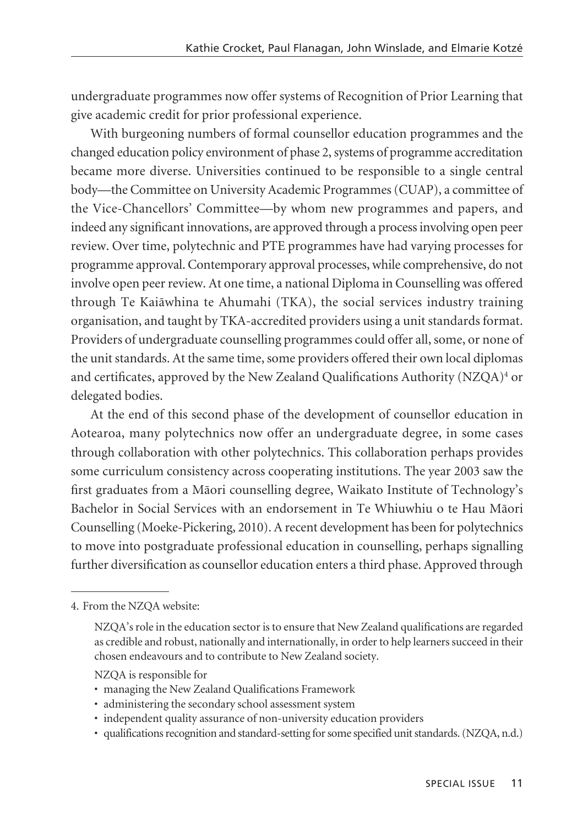undergraduate programmes now offer systems of Recognition of Prior Learning that give academic credit for prior professional experience.

With burgeoning numbers of formal counsellor education programmes and the changed education policy environment of phase 2, systems of programme accreditation became more diverse. Universities continued to be responsible to a single central body—the Committee on University Academic Programmes (CUAP), a committee of the Vice-Chancellors' Committee—by whom new programmes and papers, and indeed any significant innovations, are approved through a process involving open peer review. Over time, polytechnic and PTE programmes have had varying processes for programme approval. Contemporary approval processes, while comprehensive, do not involve open peer review. At one time, a national Diploma in Counselling was offered through Te Kaiäwhina te Ahumahi (TKA), the social services industry training organisation, and taught by TKA-accredited providers using a unit standards format. Providers of undergraduate counselling programmes could offer all, some, or none of the unit standards. At the same time, some providers offered their own local diplomas and certificates, approved by the New Zealand Qualifications Authority (NZQA)<sup>4</sup> or delegated bodies.

At the end of this second phase of the development of counsellor education in Aotearoa, many polytechnics now offer an undergraduate degree, in some cases through collaboration with other polytechnics. This collaboration perhaps provides some curriculum consistency across cooperating institutions. The year 2003 saw the first graduates from a Mäori counselling degree, Waikato Institute of Technology's Bachelor in Social Services with an endorsement in Te Whiuwhiu o te Hau Mäori Counselling (Moeke-Pickering, 2010). A recent development has been for polytechnics to move into postgraduate professional education in counselling, perhaps signalling further diversification as counsellor education enters a third phase. Approved through

- NZQA is responsible for
- managing the New Zealand Qualifications Framework
- administering the secondary school assessment system
- independent quality assurance of non-university education providers
- qualifications recognition and standard-setting for some specified unit standards. (NZQA, n.d.)

<sup>4.</sup> From the NZQA website:

NZQA's role in the education sector is to ensure that New Zealand qualifications are regarded as credible and robust, nationally and internationally, in order to help learners succeed in their chosen endeavours and to contribute to New Zealand society.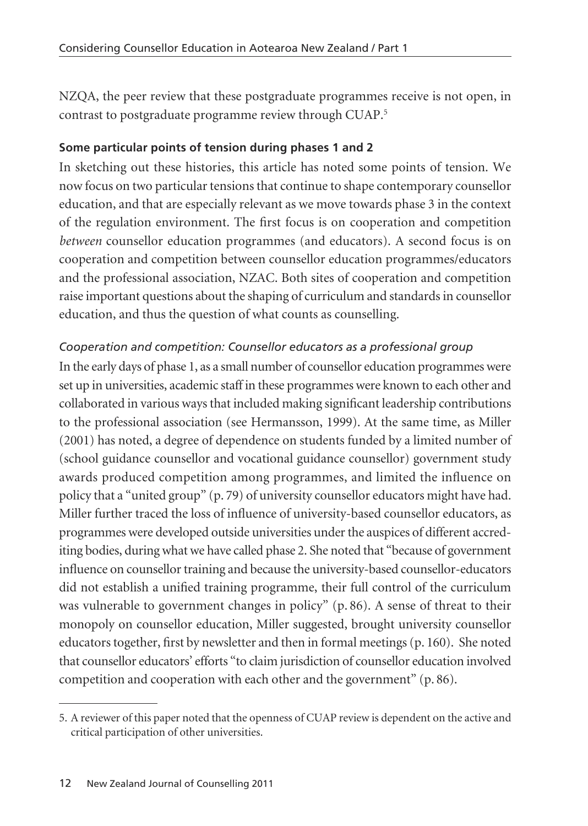NZQA, the peer review that these postgraduate programmes receive is not open, in contrast to postgraduate programme review through CUAP.5

## **Some particular points of tension during phases 1 and 2**

In sketching out these histories, this article has noted some points of tension. We now focus on two particular tensions that continue to shape contemporary counsellor education, and that are especially relevant as we move towards phase 3 in the context of the regulation environment. The first focus is on cooperation and competition *between* counsellor education programmes (and educators). A second focus is on cooperation and competition between counsellor education programmes/educators and the professional association, NZAC. Both sites of cooperation and competition raise important questions about the shaping of curriculum and standards in counsellor education, and thus the question of what counts as counselling.

## *Cooperation and competition: Counsellor educators as a professional group*

In the early days of phase 1, as a small number of counsellor education programmes were set up in universities, academic staff in these programmes were known to each other and collaborated in various ways that included making significant leadership contributions to the professional association (see Hermansson, 1999). At the same time, as Miller (2001) has noted, a degree of dependence on students funded by a limited number of (school guidance counsellor and vocational guidance counsellor) government study awards produced competition among programmes, and limited the influence on policy that a "united group" (p. 79) of university counsellor educators might have had. Miller further traced the loss of influence of university-based counsellor educators, as programmes were developed outside universities under the auspices of different accrediting bodies, during what we have called phase 2. She noted that "because of government influence on counsellor training and because the university-based counsellor-educators did not establish a unified training programme, their full control of the curriculum was vulnerable to government changes in policy" (p. 86). A sense of threat to their monopoly on counsellor education, Miller suggested, brought university counsellor educators together, first by newsletter and then in formal meetings (p. 160). She noted that counsellor educators' efforts "to claim jurisdiction of counsellor education involved competition and cooperation with each other and the government" (p. 86).

<sup>5.</sup> A reviewer of this paper noted that the openness of CUAP review is dependent on the active and critical participation of other universities.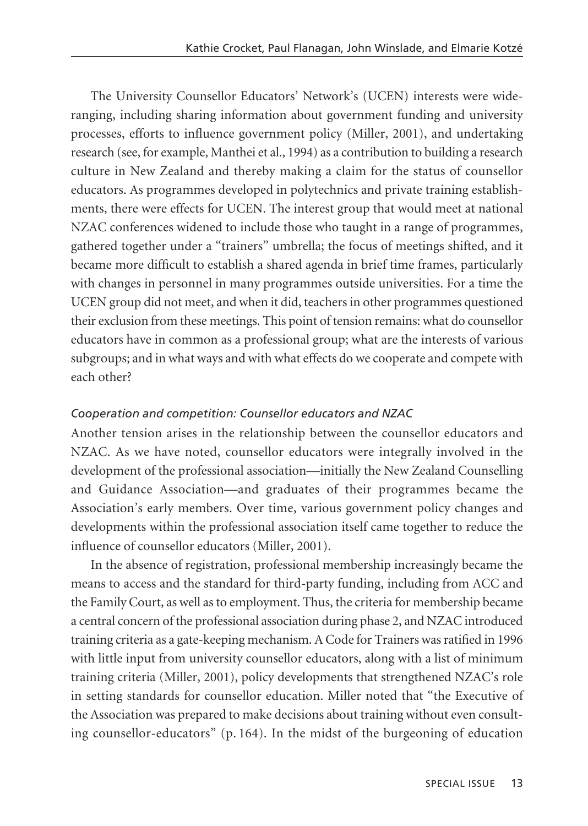The University Counsellor Educators' Network's (UCEN) interests were wideranging, including sharing information about government funding and university processes, efforts to influence government policy (Miller, 2001), and undertaking research (see, for example, Manthei et al., 1994) as a contribution to building a research culture in New Zealand and thereby making a claim for the status of counsellor educators. As programmes developed in polytechnics and private training establish ments, there were effects for UCEN. The interest group that would meet at national NZAC conferences widened to include those who taught in a range of programmes, gathered together under a "trainers" umbrella; the focus of meetings shifted, and it became more difficult to establish a shared agenda in brief time frames, particularly with changes in personnel in many programmes outside universities. For a time the UCEN group did not meet, and when it did, teachers in other programmes questioned their exclusion from these meetings. This point of tension remains: what do counsellor educators have in common as a professional group; what are the interests of various subgroups; and in what ways and with what effects do we cooperate and compete with each other?

#### *Cooperation and competition: Counsellor educators and NZAC*

Another tension arises in the relationship between the counsellor educators and NZAC. As we have noted, counsellor educators were integrally involved in the development of the professional association—initially the New Zealand Counselling and Guidance Association—and graduates of their programmes became the Association's early members. Over time, various government policy changes and developments within the professional association itself came together to reduce the influence of counsellor educators (Miller, 2001).

In the absence of registration, professional membership increasingly became the means to access and the standard for third-party funding, including from ACC and the Family Court, as well as to employment. Thus, the criteria for membership became a central concern of the professional association during phase 2, and NZAC introduced training criteria as a gate-keeping mechanism. A Code for Trainers was ratified in 1996 with little input from university counsellor educators, along with a list of minimum training criteria (Miller, 2001), policy developments that strengthened NZAC's role in setting standards for counsellor education. Miller noted that "the Executive of the Association was prepared to make decisions about training without even consult ing counsellor-educators" (p. 164). In the midst of the burgeoning of education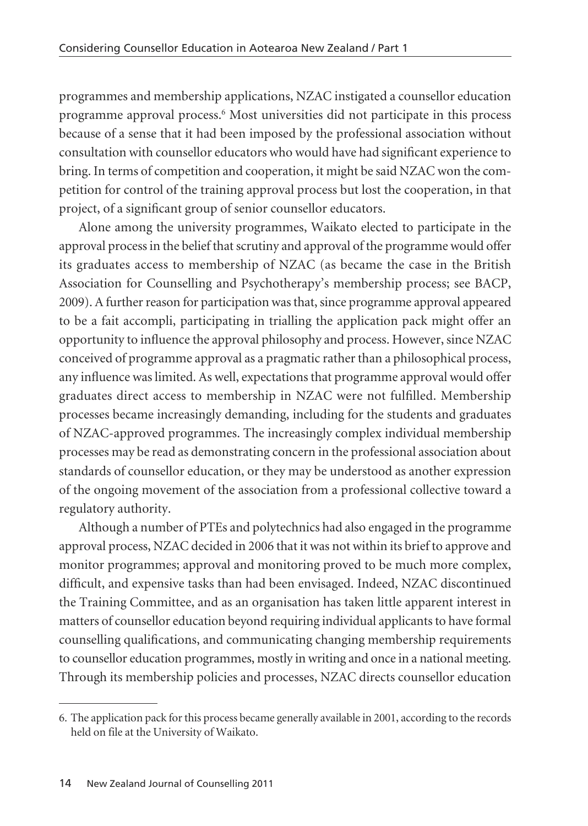programmes and membership applications, NZAC instigated a counsellor education programme approval process.<sup>6</sup> Most universities did not participate in this process because of a sense that it had been imposed by the professional association without consultation with counsellor educators who would have had significant experience to bring. In terms of competition and cooperation, it might be said NZAC won the com petition for control of the training approval process but lost the cooperation, in that project, of a significant group of senior counsellor educators.

Alone among the university programmes, Waikato elected to participate in the approval process in the belief that scrutiny and approval of the programme would offer its graduates access to membership of NZAC (as became the case in the British Association for Counselling and Psychotherapy's membership process; see BACP, 2009). A further reason for participation was that, since programme approval appeared to be a fait accompli, participating in trialling the application pack might offer an opportunity to influence the approval philosophy and process. However, since NZAC conceived of programme approval as a pragmatic rather than a philosophical process, any influence was limited. As well, expectations that programme approval would offer graduates direct access to membership in NZAC were not fulfilled. Membership processes became increasingly demanding, including for the students and graduates of NZAC-approved programmes. The increasingly complex individual membership processes may be read as demonstrating concern in the professional association about standards of counsellor education, or they may be understood as another expression of the ongoing movement of the association from a professional collective toward a regulatory authority.

Although a number of PTEs and polytechnics had also engaged in the programme approval process, NZAC decided in 2006 that it was not within its brief to approve and monitor programmes; approval and monitoring proved to be much more complex, difficult, and expensive tasks than had been envisaged. Indeed, NZAC discontinued the Training Committee, and as an organisation has taken little apparent interest in matters of counsellor education beyond requiring individual applicants to have formal counselling qualifications, and communicating changing membership requirements to counsellor education programmes, mostly in writing and once in a national meeting. Through its membership policies and processes, NZAC directs counsellor education

<sup>6.</sup> The application pack for this process became generally available in 2001, according to the records held on file at the University of Waikato.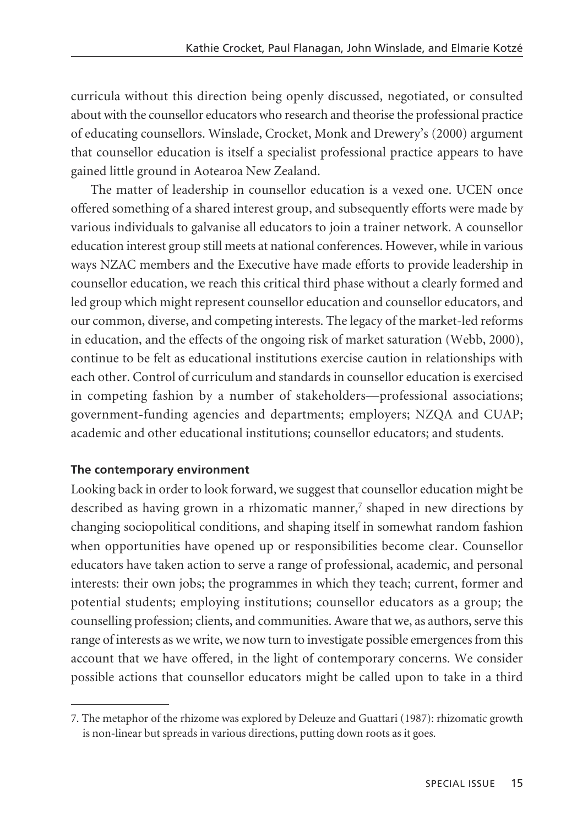curricula without this direction being openly discussed, negotiated, or consulted about with the counsellor educators who research and theorise the professional practice of educating counsellors. Winslade, Crocket, Monk and Drewery's (2000) argument that counsellor education is itself a specialist professional practice appears to have gained little ground in Aotearoa New Zealand.

The matter of leadership in counsellor education is a vexed one. UCEN once offered something of a shared interest group, and subsequently efforts were made by various individuals to galvanise all educators to join a trainer network. A counsellor education interest group still meets at national conferences. However, while in various ways NZAC members and the Executive have made efforts to provide leadership in counsellor education, we reach this critical third phase without a clearly formed and led group which might represent counsellor education and counsellor educators, and our common, diverse, and competing interests. The legacy of the market-led reforms in education, and the effects of the ongoing risk of market saturation (Webb, 2000), continue to be felt as educational institutions exercise caution in relationships with each other. Control of curriculum and standards in counsellor education is exercised in competing fashion by a number of stakeholders—professional associations; government-funding agencies and departments; employers; NZQA and CUAP; academic and other educational institutions; counsellor educators; and students.

## **The contemporary environment**

Looking back in order to look forward, we suggest that counsellor education might be described as having grown in a rhizomatic manner,<sup>7</sup> shaped in new directions by changing sociopolitical conditions, and shaping itself in somewhat random fashion when opportunities have opened up or responsibilities become clear. Counsellor educators have taken action to serve a range of professional, academic, and personal interests: their own jobs; the programmes in which they teach; current, former and potential students; employing institutions; counsellor educators as a group; the counselling profession; clients, and communities. Aware that we, as authors, serve this range of interests as we write, we now turn to investigate possible emergences from this account that we have offered, in the light of contemporary concerns. We consider possible actions that counsellor educators might be called upon to take in a third

<sup>7.</sup> The metaphor of the rhizome was explored by Deleuze and Guattari (1987): rhizomatic growth is non-linear but spreads in various directions, putting down roots as it goes.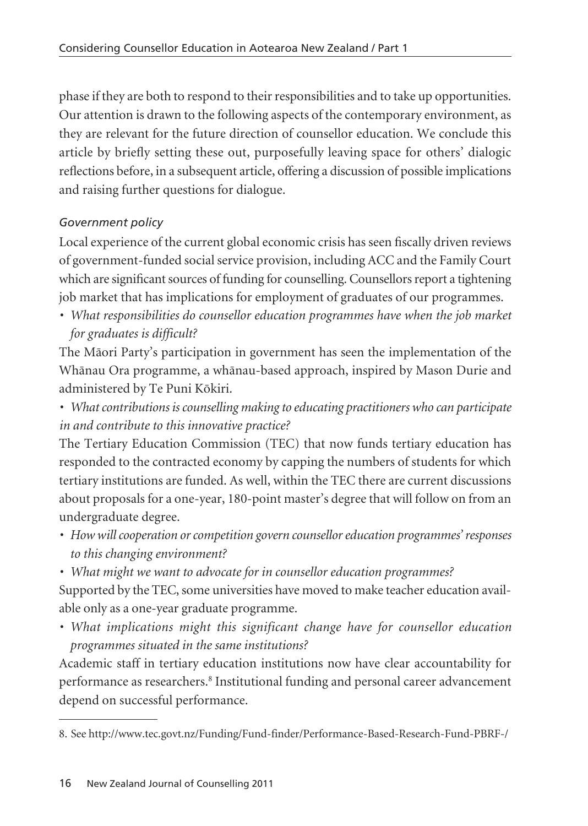phase if they are both to respond to their responsibilities and to take up opportunities. Our attention is drawn to the following aspects of the contemporary environment, as they are relevant for the future direction of counsellor education. We conclude this article by briefly setting these out, purposefully leaving space for others' dialogic reflections before, in a subsequent article, offering a discussion of possible implications and raising further questions for dialogue.

# *Government policy*

Local experience of the current global economic crisis has seen fiscally driven reviews of government-funded social service provision, including ACC and the Family Court which are significant sources of funding for counselling. Counsellors report a tightening job market that has implications for employment of graduates of our programmes.

*• What responsibilities do counsellor education programmes have when the job market for graduates is difficult?*

The Mäori Party's participation in government has seen the implementation of the Whänau Ora programme, a whänau-based approach, inspired by Mason Durie and administered by Te Puni Kökiri.

*• What contributions is counselling making to educating practitioners who can participate in and contribute to this innovative practice?*

The Tertiary Education Commission (TEC) that now funds tertiary education has responded to the contracted economy by capping the numbers of students for which tertiary institutions are funded. As well, within the TEC there are current discussions about proposals for a one-year, 180-point master's degree that will follow on from an undergraduate degree.

- *How will cooperation or competition govern counsellor education programmes' responses to this changing environment?*
- *What might we want to advocate for in counsellor education programmes?*

Supported by the TEC, some universities have moved to make teacher education avail able only as a one-year graduate programme.

*• What implications might this significant change have for counsellor education programmes situated in the same institutions?*

Academic staff in tertiary education institutions now have clear accountability for performance as researchers.8 Institutional funding and personal career advancement depend on successful performance.

<sup>8.</sup> See http://www.tec.govt.nz/Funding/Fund-finder/Performance-Based-Research-Fund-PBRF-/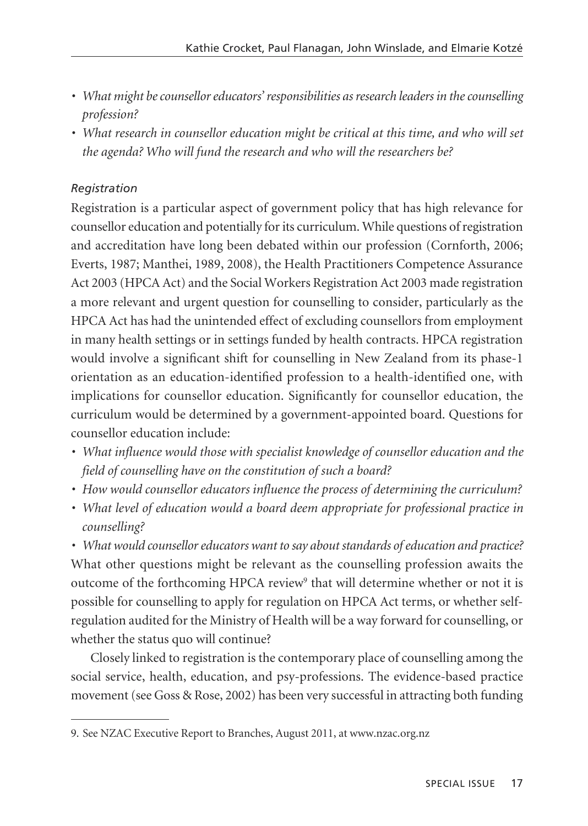- *What might be counsellor educators' responsibilities as research leaders in the counselling profession?*
- *What research in counsellor education might be critical at this time, and who will set the agenda? Who will fund the research and who will the researchers be?*

# *Registration*

Registration is a particular aspect of government policy that has high relevance for counsellor education and potentially for its curriculum. While questions of registration and accreditation have long been debated within our profession (Cornforth, 2006; Everts, 1987; Manthei, 1989, 2008), the Health Practitioners Competence Assurance Act 2003 (HPCA Act) and the Social Workers Registration Act 2003 made registration a more relevant and urgent question for counselling to consider, particularly as the HPCA Act has had the unintended effect of excluding counsellors from employment in many health settings or in settings funded by health contracts. HPCA registration would involve a significant shift for counselling in New Zealand from its phase-1 orientation as an education-identified profession to a health-identified one, with implications for counsellor education. Significantly for counsellor education, the curriculum would be determined by a government-appointed board. Questions for counsellor education include:

- *What influence would those with specialist knowledge of counsellor education and the field of counselling have on the constitution of such a board?*
- *How would counsellor educators influence the process of determining the curriculum?*
- *What level of education would a board deem appropriate for professional practice in counselling?*

*• What would counsellor educators want to say about standards of education and practice?* What other questions might be relevant as the counselling profession awaits the outcome of the forthcoming HPCA review<sup>9</sup> that will determine whether or not it is possible for counselling to apply for regulation on HPCA Act terms, or whether selfregulation audited for the Ministry of Health will be a way forward for counselling, or whether the status quo will continue?

Closely linked to registration is the contemporary place of counselling among the social service, health, education, and psy-professions. The evidence-based practice movement (see Goss & Rose, 2002) has been very successful in attracting both funding

<sup>9.</sup> See NZAC Executive Report to Branches, August 2011, at www.nzac.org.nz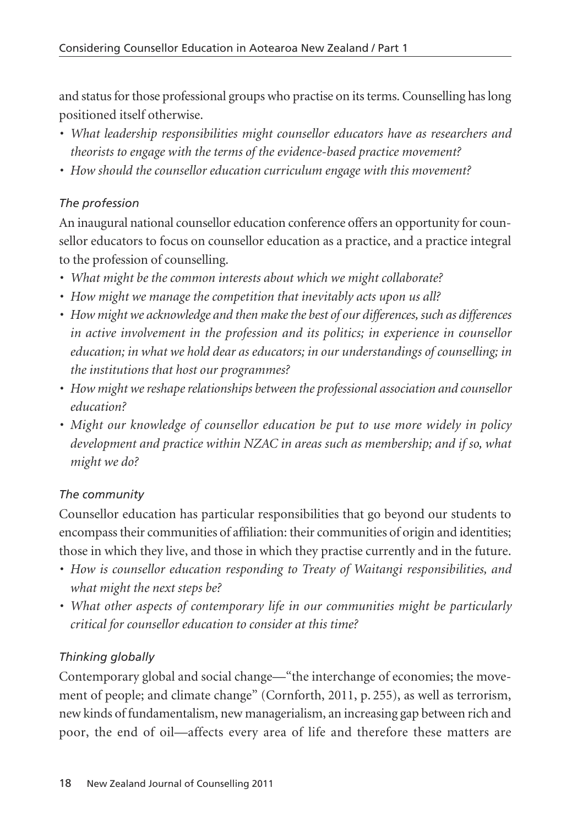and status for those professional groups who practise on its terms. Counselling has long positioned itself otherwise.

- *What leadership responsibilities might counsellor educators have as researchers and theorists to engage with the terms of the evidence-based practice movement?*
- *How should the counsellor education curriculum engage with this movement?*

## *The profession*

An inaugural national counsellor education conference offers an opportunity for counsellor educators to focus on counsellor education as a practice, and a practice integral to the profession of counselling.

- *What might be the common interests about which we might collaborate?*
- *How might we manage the competition that inevitably acts upon us all?*
- *How might we acknowledge and then make the best of our differences, such as differences in active involvement in the profession and its politics; in experience in counsellor education; in what we hold dear as educators; in our understandings of counselling; in the institutions that host our programmes?*
- *How might we reshape relationships between the professional association and counsellor education?*
- *Might our knowledge of counsellor education be put to use more widely in policy development and practice within NZAC in areas such as membership; and if so, what might we do?*

## *The community*

Counsellor education has particular responsibilities that go beyond our students to encompass their communities of affiliation: their communities of origin and identities; those in which they live, and those in which they practise currently and in the future.

- *How is counsellor education responding to Treaty of Waitangi responsibilities, and what might the next steps be?*
- *What other aspects of contemporary life in our communities might be particularly critical for counsellor education to consider at this time?*

# *Thinking globally*

Contemporary global and social change—"the interchange of economies; the move ment of people; and climate change" (Cornforth, 2011, p. 255), as well as terrorism, new kinds of fundamentalism, new managerialism, an increasing gap between rich and poor, the end of oil—affects every area of life and therefore these matters are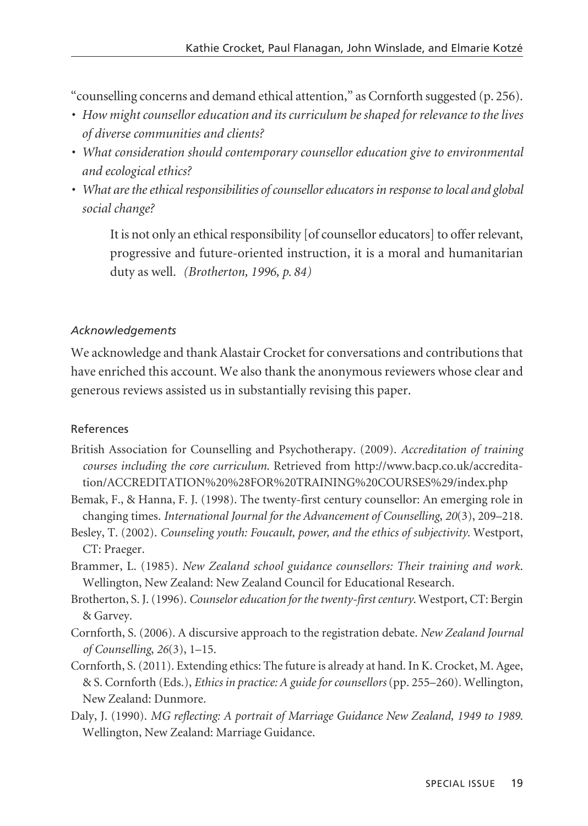"counselling concerns and demand ethical attention," as Cornforth suggested (p. 256).

- *How might counsellor education and its curriculum be shaped for relevance to the lives of diverse communities and clients?*
- *What consideration should contemporary counsellor education give to environmental and ecological ethics?*
- *What are the ethical responsibilities of counsellor educators in response to local and global social change?*

It is not only an ethical responsibility [of counsellor educators] to offer relevant, progressive and future-oriented instruction, it is a moral and humanitarian duty as well. *(Brotherton, 1996, p. 84)*

#### *Acknowledgements*

We acknowledge and thank Alastair Crocket for conversations and contributions that have enriched this account. We also thank the anonymous reviewers whose clear and generous reviews assisted us in substantially revising this paper.

#### References

- British Association for Counselling and Psychotherapy. (2009). *Accreditation of training courses including the core curriculum*. Retrieved from http://www.bacp.co.uk/accreditation/ACCREDITATION%20%28FOR%20TRAINING%20COURSES%29/index.php
- Bemak, F., & Hanna, F. J. (1998). The twenty-first century counsellor: An emerging role in changing times. *International Journal for the Advancement of Counselling*, *20*(3), 209–218.
- Besley, T. (2002). *Counseling youth: Foucault, power, and the ethics of subjectivity*. Westport, CT: Praeger.
- Brammer, L. (1985). *New Zealand school guidance counsellors: Their training and work*. Wellington, New Zealand: New Zealand Council for Educational Research.
- Brotherton, S. J. (1996). *Counselor education for the twenty-first century*. Westport, CT: Bergin & Garvey.
- Cornforth, S. (2006). A discursive approach to the registration debate. *New Zealand Journal of Counselling*, *26*(3), 1–15.
- Cornforth, S. (2011). Extending ethics: The future is already at hand. In K. Crocket, M. Agee, & S. Cornforth (Eds.), *Ethics in practice: A guide for counsellors* (pp. 255–260). Wellington, New Zealand: Dunmore.
- Daly, J. (1990). *MG reflecting: A portrait of Marriage Guidance New Zealand, 1949 to 1989*. Wellington, New Zealand: Marriage Guidance.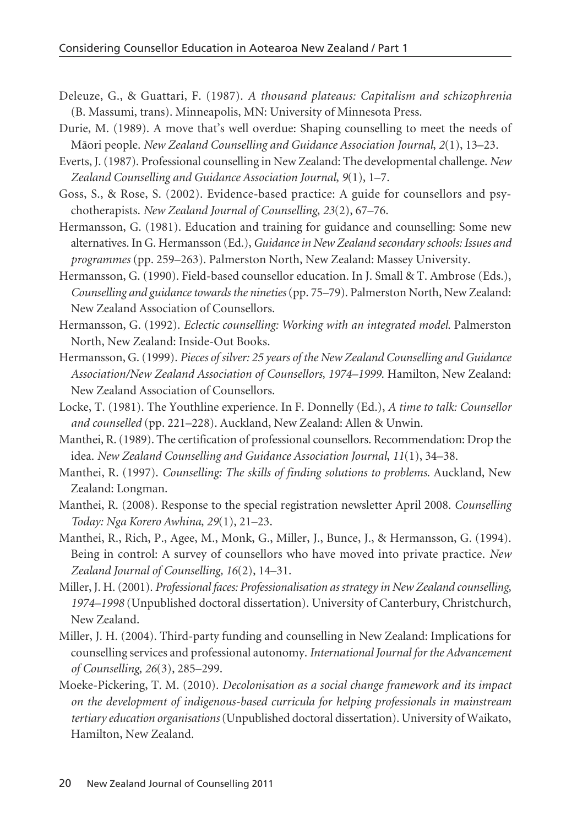- Deleuze, G., & Guattari, F. (1987). *A thousand plateaus: Capitalism and schizophrenia* (B. Massumi, trans). Minneapolis, MN: University of Minnesota Press.
- Durie, M. (1989). A move that's well overdue: Shaping counselling to meet the needs of Mäori people. *New Zealand Counselling and Guidance Association Journal*, *2*(1), 13–23.
- Everts, J. (1987). Professional counselling in New Zealand: The developmental challenge. *New Zealand Counselling and Guidance Association Journal*, *9*(1), 1–7.
- Goss, S., & Rose, S. (2002). Evidence-based practice: A guide for counsellors and psychotherapists. *New Zealand Journal of Counselling*, *23*(2), 67–76.
- Hermansson, G. (1981). Education and training for guidance and counselling: Some new alternatives. In G. Hermansson (Ed.), *Guidance in New Zealand secondary schools: Issues and programmes* (pp. 259–263). Palmerston North, New Zealand: Massey University.
- Hermansson, G. (1990). Field-based counsellor education. In J. Small & T. Ambrose (Eds.), *Counselling and guidance towards the nineties*(pp. 75–79). Palmerston North, New Zealand: New Zealand Association of Counsellors.
- Hermansson, G. (1992). *Eclectic counselling: Working with an integrated model*. Palmerston North, New Zealand: Inside-Out Books.
- Hermansson, G. (1999). *Pieces of silver: 25 years of the New Zealand Counselling and Guidance Association/New Zealand Association of Counsellors, 1974–1999*. Hamilton, New Zealand: New Zealand Association of Counsellors.
- Locke, T. (1981). The Youthline experience. In F. Donnelly (Ed.), *A time to talk: Counsellor and counselled* (pp. 221–228). Auckland, New Zealand: Allen & Unwin.
- Manthei, R. (1989). The certification of professional counsellors. Recommendation: Drop the idea. *New Zealand Counselling and Guidance Association Journal*, *11*(1), 34–38.
- Manthei, R. (1997). *Counselling: The skills of finding solutions to problems*. Auckland, New Zealand: Longman.
- Manthei, R. (2008). Response to the special registration newsletter April 2008. *Counselling Today: Nga Korero Awhina*, *29*(1), 21–23.
- Manthei, R., Rich, P., Agee, M., Monk, G., Miller, J., Bunce, J., & Hermansson, G. (1994). Being in control: A survey of counsellors who have moved into private practice. *New Zealand Journal of Counselling, 16*(2), 14–31.
- Miller, J. H. (2001). *Professional faces: Professionalisation as strategy in New Zealand counselling, 1974–1998* (Unpublished doctoral dissertation). University of Canterbury, Christchurch, New Zealand.
- Miller, J. H. (2004). Third-party funding and counselling in New Zealand: Implications for counselling services and professional autonomy. *International Journal for the Advancement of Counselling*, *26*(3), 285–299.
- Moeke-Pickering, T. M. (2010). *Decolonisation as a social change framework and its impact on the development of indigenous-based curricula for helping professionals in mainstream tertiary education organisations*(Unpublished doctoral dissertation). University of Waikato, Hamilton, New Zealand.